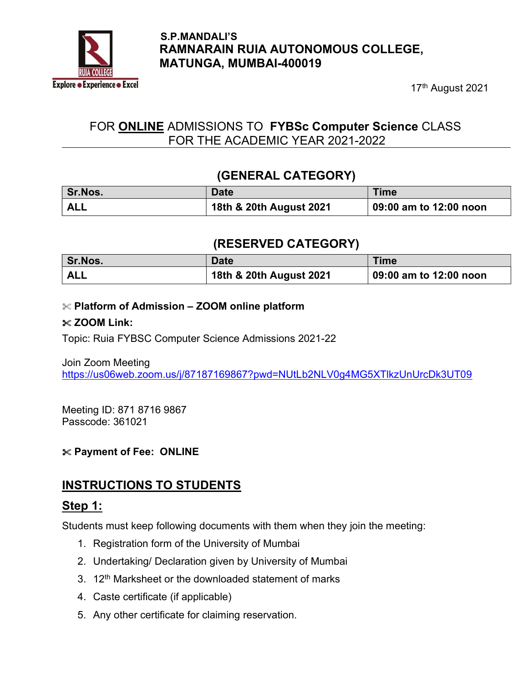

#### S.P.MANDALI'S RAMNARAIN RUIA AUTONOMOUS COLLEGE, MATUNGA, MUMBAI-400019

17<sup>th</sup> August 2021

## FOR ONLINE ADMISSIONS TO FYBSc Computer Science CLASS FOR THE ACADEMIC YEAR 2021-2022

### (GENERAL CATEGORY)

| <b>Sr.Nos.</b> | Date                    | <b>Time</b>                    |
|----------------|-------------------------|--------------------------------|
| <b>ALL</b>     | 18th & 20th August 2021 | $\vert$ 09:00 am to 12:00 noon |

### (RESERVED CATEGORY)

| Sr.Nos.    | <b>Date</b>             | <b>Time</b>            |
|------------|-------------------------|------------------------|
| <b>ALL</b> | 18th & 20th August 2021 | 09:00 am to 12:00 noon |

#### $\mathcal X$  Platform of Admission – ZOOM online platform

#### $\&$  ZOOM Link:

Topic: Ruia FYBSC Computer Science Admissions 2021-22

Join Zoom Meeting https://us06web.zoom.us/j/87187169867?pwd=NUtLb2NLV0g4MG5XTlkzUnUrcDk3UT09

Meeting ID: 871 8716 9867 Passcode: 361021

### Payment of Fee: ONLINE

## INSTRUCTIONS TO STUDENTS

### Step 1:

Students must keep following documents with them when they join the meeting:

- 1. Registration form of the University of Mumbai
- 2. Undertaking/ Declaration given by University of Mumbai
- 3. 12<sup>th</sup> Marksheet or the downloaded statement of marks
- 4. Caste certificate (if applicable)
- 5. Any other certificate for claiming reservation.